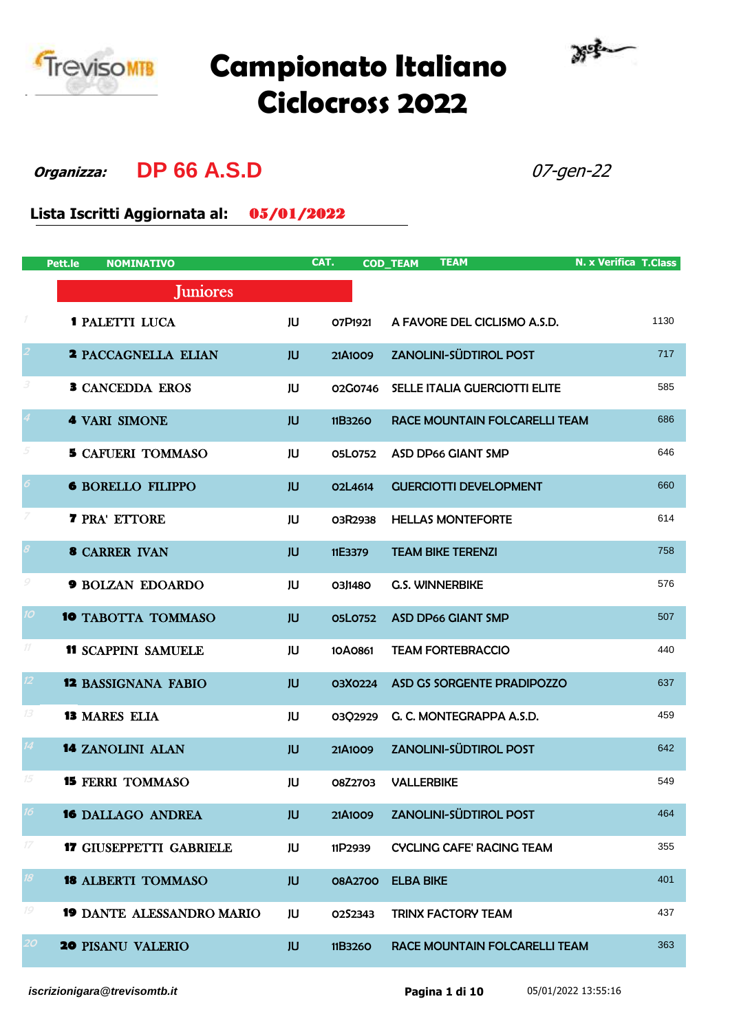

## **Campionato Italiano Ciclocross 2022**



**Organizza: DP 66 A.S.D** 07-gen-22

**Lista Iscritti Aggiornata al:** 05/01/2022

|                            | Pett.le<br><b>NOMINATIVO</b>     |           | CAT.           | <b>TEAM</b><br><b>COD_TEAM</b>       | <b>N. x Verifica T.Class</b> |
|----------------------------|----------------------------------|-----------|----------------|--------------------------------------|------------------------------|
|                            | <b>Juniores</b>                  |           |                |                                      |                              |
| $\cal I$                   | <b>1 PALETTI LUCA</b>            | JU        | O7P1921        | A FAVORE DEL CICLISMO A.S.D.         | 1130                         |
| $\overline{a}$             | <b>2 PACCAGNELLA ELIAN</b>       | <b>JU</b> | 21A1009        | <b>ZANOLINI-SÜDTIROL POST</b>        | 717                          |
| 3                          | <b>3 CANCEDDA EROS</b>           | JU        | 02G0746        | <b>SELLE ITALIA GUERCIOTTI ELITE</b> | 585                          |
| $\overline{4}$             | <b>4 VARI SIMONE</b>             | JU        | 11B3260        | RACE MOUNTAIN FOLCARELLI TEAM        | 686                          |
| 5                          | <b>5 CAFUERI TOMMASO</b>         | JU        | 05L0752        | <b>ASD DP66 GIANT SMP</b>            | 646                          |
| $\boldsymbol{\delta}$      | <b>6 BORELLO FILIPPO</b>         | <b>JU</b> | O2L4614        | <b>GUERCIOTTI DEVELOPMENT</b>        | 660                          |
| $\overline{Z}$             | <b>7 PRA' ETTORE</b>             | JU        | 03R2938        | <b>HELLAS MONTEFORTE</b>             | 614                          |
| $\boldsymbol{\mathcal{S}}$ | <b>8 CARRER IVAN</b>             | <b>JU</b> | 11E3379        | <b>TEAM BIKE TERENZI</b>             | 758                          |
| $\mathcal G$               | <b>9 BOLZAN EDOARDO</b>          | JU        | 03J1480        | <b>G.S. WINNERBIKE</b>               | 576                          |
| 10 <sup>°</sup>            | <b>10 TABOTTA TOMMASO</b>        | <b>JU</b> | <b>05L0752</b> | <b>ASD DP66 GIANT SMP</b>            | 507                          |
| $11$                       | <b>11 SCAPPINI SAMUELE</b>       | JU        | 10A0861        | <b>TEAM FORTEBRACCIO</b>             | 440                          |
| 12 <sup>°</sup>            | <b>12 BASSIGNANA FABIO</b>       | JU        | 03X0224        | ASD GS SORGENTE PRADIPOZZO           | 637                          |
| 13                         | <b>13 MARES ELIA</b>             | JU        | 03Q2929        | G. C. MONTEGRAPPA A.S.D.             | 459                          |
| $\overline{14}$            | <b>14 ZANOLINI ALAN</b>          | JU        | 21A1009        | <b>ZANOLINI-SÜDTIROL POST</b>        | 642                          |
| 15                         | <b>15 FERRI TOMMASO</b>          | JU        | 08Z2703        | <b>VALLERBIKE</b>                    | 549                          |
| 16                         | <b>16 DALLAGO ANDREA</b>         | JU        | 21A1009        | <b>ZANOLINI-SÜDTIROL POST</b>        | 464                          |
| $17\,$                     | <b>17 GIUSEPPETTI GABRIELE</b>   | JU        | 11P2939        | <b>CYCLING CAFE' RACING TEAM</b>     | 355                          |
| 18 <sup>°</sup>            | <b>18 ALBERTI TOMMASO</b>        | JU        | 08A2700        | <b>ELBA BIKE</b>                     | 401                          |
| 19                         | <b>19 DANTE ALESSANDRO MARIO</b> | JU        | 0252343        | <b>TRINX FACTORY TEAM</b>            | 437                          |
| 20 <sub>2</sub>            | <b>20 PISANU VALERIO</b>         | JU        | 11B3260        | RACE MOUNTAIN FOLCARELLI TEAM        | 363                          |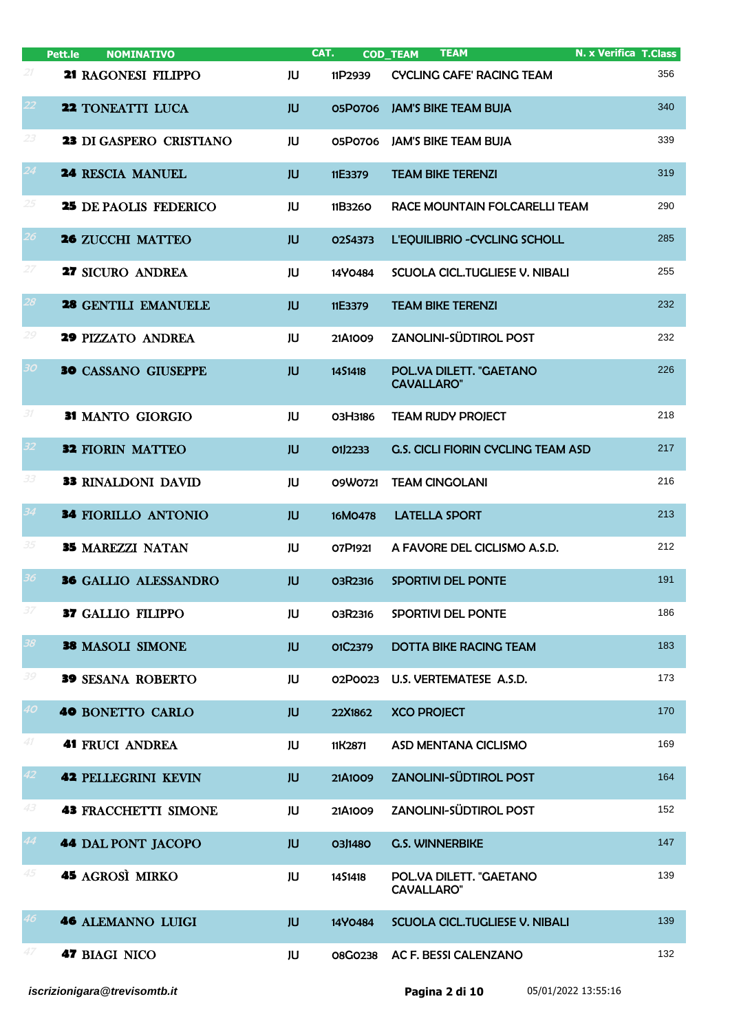|                             | Pett.le<br><b>NOMINATIVO</b> |           | CAT.           | <b>TEAM</b><br><b>COD_TEAM</b>               | <b>N. x Verifica T.Class</b> |
|-----------------------------|------------------------------|-----------|----------------|----------------------------------------------|------------------------------|
| 21                          | 21 RAGONESI FILIPPO          | JU        | 11P2939        | <b>CYCLING CAFE' RACING TEAM</b>             | 356                          |
| 22                          | 22 TONEATTI LUCA             | <b>JU</b> | 05P0706        | <b>JAM'S BIKE TEAM BUJA</b>                  | 340                          |
| 23                          | 23 DI GASPERO CRISTIANO      | JU        | 05P0706        | <b>JAM'S BIKE TEAM BUJA</b>                  | 339                          |
| 24                          | <b>24 RESCIA MANUEL</b>      | <b>JU</b> | 11E3379        | <b>TEAM BIKE TERENZI</b>                     | 319                          |
| 25                          | <b>25 DE PAOLIS FEDERICO</b> | JU        | 11B3260        | RACE MOUNTAIN FOLCARELLI TEAM                | 290                          |
| 26 <sup>°</sup>             | <b>26 ZUCCHI MATTEO</b>      | JU        | 0254373        | L'EQUILIBRIO - CYCLING SCHOLL                | 285                          |
| 27                          | 27 SICURO ANDREA             | JU        | 14Y0484        | SCUOLA CICL. TUGLIESE V. NIBALI              | 255                          |
| 28                          | 28 GENTILI EMANUELE          | <b>JU</b> | 11E3379        | <b>TEAM BIKE TERENZI</b>                     | 232                          |
| 29                          | <b>29 PIZZATO ANDREA</b>     | JU        | 21A1009        | ZANOLINI-SÜDTIROL POST                       | 232                          |
| 30                          | <b>30 CASSANO GIUSEPPE</b>   | JU        | 1451418        | POL.VA DILETT. "GAETANO<br><b>CAVALLARO"</b> | 226                          |
| 31                          | 31 MANTO GIORGIO             | JU        | O3H3186        | <b>TEAM RUDY PROJECT</b>                     | 218                          |
| 32                          | <b>32 FIORIN MATTEO</b>      | <b>JU</b> | 01J2233        | G.S. CICLI FIORIN CYCLING TEAM ASD           | 217                          |
| 33                          | 33 RINALDONI DAVID           | JU        | 09W0721        | <b>TEAM CINGOLANI</b>                        | 216                          |
| 34                          | <b>34 FIORILLO ANTONIO</b>   | <b>JU</b> | 16M0478        | <b>LATELLA SPORT</b>                         | 213                          |
| 35                          | <b>35 MAREZZI NATAN</b>      | JU        | O7P1921        | A FAVORE DEL CICLISMO A.S.D.                 | 212                          |
| 36                          | <b>36 GALLIO ALESSANDRO</b>  | JU        | <b>03R2316</b> | SPORTIVI DEL PONTE                           | 191                          |
| $\ensuremath{\mathcal{37}}$ | <b>37 GALLIO FILIPPO</b>     | JU        | 03R2316        | SPORTIVI DEL PONTE                           | 186                          |
| 38                          | 38 MASOLI SIMONE             | <b>JU</b> | O1C2379        | <b>DOTTA BIKE RACING TEAM</b>                | 183                          |
| 39                          | <b>39 SESANA ROBERTO</b>     | JU        | 02P0023        | U.S. VERTEMATESE A.S.D.                      | 173                          |
| 40                          | 40 BONETTO CARLO             | <b>JU</b> | 22X1862        | <b>XCO PROJECT</b>                           | 170                          |
| 41                          | <b>41 FRUCI ANDREA</b>       | JU        | 11K2871        | ASD MENTANA CICLISMO                         | 169                          |
| 42                          | <b>42 PELLEGRINI KEVIN</b>   | <b>JU</b> | 21A1009        | <b>ZANOLINI-SÜDTIROL POST</b>                | 164                          |
| 43                          | <b>43 FRACCHETTI SIMONE</b>  | JU        | 21A1009        | ZANOLINI-SÜDTIROL POST                       | 152                          |
| 44                          | <b>44 DAL PONT JACOPO</b>    | <b>JU</b> | 03J1480        | <b>G.S. WINNERBIKE</b>                       | 147                          |
| 45                          | <b>45 AGROSÌ MIRKO</b>       | JU        | 1451418        | POL.VA DILETT. "GAETANO<br><b>CAVALLARO"</b> | 139                          |
| 46                          | <b>46 ALEMANNO LUIGI</b>     | <b>JU</b> | 14Y0484        | SCUOLA CICL.TUGLIESE V. NIBALI               | 139                          |
| 47                          | <b>47 BIAGI NICO</b>         | JU        | <b>08G0238</b> | AC F. BESSI CALENZANO                        | 132                          |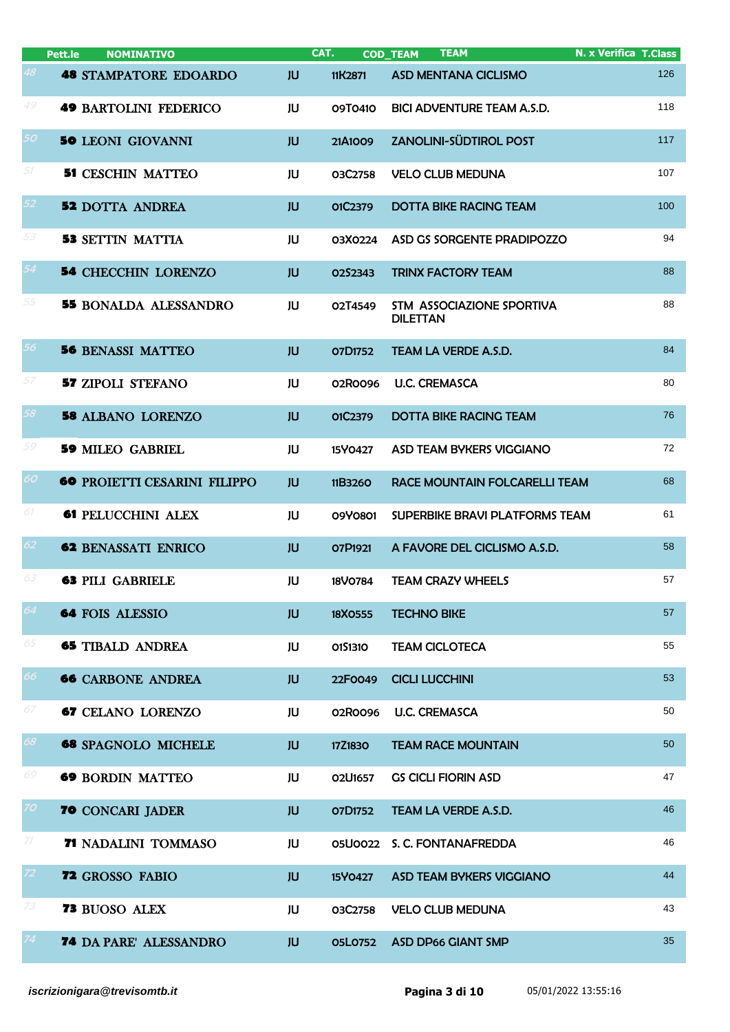|                 | <b>NOMINATIVO</b><br>Pett.le        |           | CAT.           | <b>TEAM</b><br><b>COD_TEAM</b>               | <b>N. x Verifica T.Class</b> |
|-----------------|-------------------------------------|-----------|----------------|----------------------------------------------|------------------------------|
| 48              | <b>48 STAMPATORE EDOARDO</b>        | <b>JU</b> | 11K2871        | <b>ASD MENTANA CICLISMO</b>                  | 126                          |
| 49              | <b>49 BARTOLINI FEDERICO</b>        | JU        | 09T0410        | <b>BICI ADVENTURE TEAM A.S.D.</b>            | 118                          |
| 50              | <b>50 LEONI GIOVANNI</b>            | JU        | 21A1009        | <b>ZANOLINI-SÜDTIROL POST</b>                | 117                          |
| $51\,$          | <b>51 CESCHIN MATTEO</b>            | JU        | 03C2758        | <b>VELO CLUB MEDUNA</b>                      | 107                          |
| 52              | <b>52 DOTTA ANDREA</b>              | JU        | 01C2379        | <b>DOTTA BIKE RACING TEAM</b>                | 100                          |
| 53              | <b>53 SETTIN MATTIA</b>             | JU        | 03X0224        | ASD GS SORGENTE PRADIPOZZO                   | 94                           |
| 54              | <b>54 CHECCHIN LORENZO</b>          | <b>JU</b> | O2S2343        | <b>TRINX FACTORY TEAM</b>                    | 88                           |
| 55              | <b>55 BONALDA ALESSANDRO</b>        | JU        | O2T4549        | STM ASSOCIAZIONE SPORTIVA<br><b>DILETTAN</b> | 88                           |
| 56              | <b>56 BENASSI MATTEO</b>            | <b>JU</b> | O7D1752        | <b>TEAM LA VERDE A.S.D.</b>                  | 84                           |
| 57              | <b>57 ZIPOLI STEFANO</b>            | JU        | 02R0096        | <b>U.C. CREMASCA</b>                         | 80                           |
| 58              | <b>58 ALBANO LORENZO</b>            | JU        | 01C2379        | <b>DOTTA BIKE RACING TEAM</b>                | 76                           |
| 59              | <b>59 MILEO GABRIEL</b>             | JU        | 15Y0427        | <b>ASD TEAM BYKERS VIGGIANO</b>              | 72                           |
| 60              | <b>60 PROIETTI CESARINI FILIPPO</b> | JU        | 11B3260        | RACE MOUNTAIN FOLCARELLI TEAM                | 68                           |
| 61              | <b>61 PELUCCHINI ALEX</b>           | JU        | 09Y0801        | SUPERBIKE BRAVI PLATFORMS TEAM               | 61                           |
| 62              | <b>62 BENASSATI ENRICO</b>          | <b>JU</b> | O7P1921        | A FAVORE DEL CICLISMO A.S.D.                 | 58                           |
| 63              | <b>63 PILI GABRIELE</b>             | JU        | 18V0784        | <b>TEAM CRAZY WHEELS</b>                     | 57                           |
| 64              | <b>64 FOIS ALESSIO</b>              | <b>JU</b> | 18X0555        | <b>TECHNO BIKE</b>                           | 57                           |
| 65              | <b>65 TIBALD ANDREA</b>             | JU        | 0151310        | <b>TEAM CICLOTECA</b>                        | 55                           |
| 66              | <b>66 CARBONE ANDREA</b>            | <b>JU</b> | 22F0049        | <b>CICLI LUCCHINI</b>                        | 53                           |
| 67              | <b>67 CELANO LORENZO</b>            | JU        | 02R0096        | <b>U.C. CREMASCA</b>                         | 50                           |
| 68              | <b>68 SPAGNOLO MICHELE</b>          | <b>JU</b> | 17Z1830        | <b>TEAM RACE MOUNTAIN</b>                    | 50                           |
| 69              | <b>69 BORDIN MATTEO</b>             | JU        | 02U1657        | <b>GS CICLI FIORIN ASD</b>                   | 47                           |
| 70              | <b>70 CONCARI JADER</b>             | <b>JU</b> | O7D1752        | TEAM LA VERDE A.S.D.                         | 46                           |
| 71              | <b>71 NADALINI TOMMASO</b>          | JU        | <b>05U0022</b> | S. C. FONTANAFREDDA                          | 46                           |
| 72,             | <b>72 GROSSO FABIO</b>              | <b>JU</b> | 15Y0427        | <b>ASD TEAM BYKERS VIGGIANO</b>              | 44                           |
| 73              | 73 BUOSO ALEX                       | JU        | 03C2758        | <b>VELO CLUB MEDUNA</b>                      | 43                           |
| 74 <sup>°</sup> | <b>74 DA PARE' ALESSANDRO</b>       | <b>JU</b> | <b>05L0752</b> | <b>ASD DP66 GIANT SMP</b>                    | 35                           |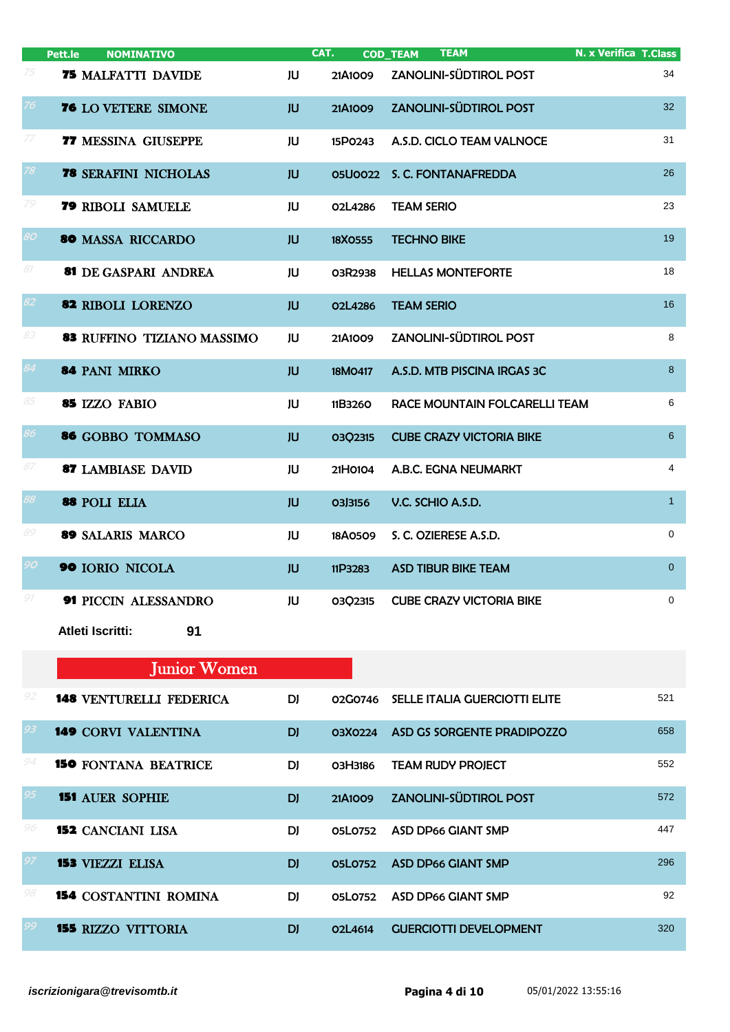|                   | Pett.le<br><b>NOMINATIVO</b>      |           | CAT.           | <b>TEAM</b><br><b>COD_TEAM</b>  | <b>N. x Verifica T. Class</b> |                |
|-------------------|-----------------------------------|-----------|----------------|---------------------------------|-------------------------------|----------------|
| 75                | <b>75 MALFATTI DAVIDE</b>         | JU        | 21A1009        | ZANOLINI-SÜDTIROL POST          |                               | 34             |
| 76                | 76 LO VETERE SIMONE               | <b>JU</b> | 21A1009        | <b>ZANOLINI-SÜDTIROL POST</b>   |                               | 32             |
| $\ensuremath{77}$ | <b>77 MESSINA GIUSEPPE</b>        | JU        | 15P0243        | A.S.D. CICLO TEAM VALNOCE       |                               | 31             |
| 78                | <b>78 SERAFINI NICHOLAS</b>       | JU        | <b>05U0022</b> | S. C. FONTANAFREDDA             |                               | 26             |
| 79                | <b>79 RIBOLI SAMUELE</b>          | JU        | O2L4286        | <b>TEAM SERIO</b>               |                               | 23             |
| 80                | <b>80 MASSA RICCARDO</b>          | <b>JU</b> | 18X0555        | <b>TECHNO BIKE</b>              |                               | 19             |
| 81                | 81 DE GASPARI ANDREA              | JU        | 03R2938        | <b>HELLAS MONTEFORTE</b>        |                               | 18             |
| 82                | 82 RIBOLI LORENZO                 | <b>JU</b> | <b>02L4286</b> | <b>TEAM SERIO</b>               |                               | 16             |
| 83                | <b>83 RUFFINO TIZIANO MASSIMO</b> | JU        | 21A1009        | ZANOLINI-SÜDTIROL POST          |                               | 8              |
| 84                | 84 PANI MIRKO                     | <b>JU</b> | 18M0417        | A.S.D. MTB PISCINA IRGAS 3C     |                               | $\,8\,$        |
| 85                | 85 IZZO FABIO                     | JU        | 11B3260        | RACE MOUNTAIN FOLCARELLI TEAM   |                               | 6              |
| 86                | 86 GOBBO TOMMASO                  | <b>JU</b> | 03Q2315        | <b>CUBE CRAZY VICTORIA BIKE</b> |                               | $6^{\circ}$    |
| 87                | <b>87 LAMBIASE DAVID</b>          | JU        | 21H0104        | A.B.C. EGNA NEUMARKT            |                               | $\overline{4}$ |
| 88                | 88 POLI ELIA                      | <b>JU</b> | 03J3156        | V.C. SCHIO A.S.D.               |                               | $\mathbf{1}$   |
| 89                | 89 SALARIS MARCO                  | JU        | 18A0509        | S. C. OZIERESE A.S.D.           |                               | 0              |
| 90                | 90 IORIO NICOLA                   | <b>JU</b> | 11P3283        | <b>ASD TIBUR BIKE TEAM</b>      |                               | $\overline{0}$ |
| 91                | 91 PICCIN ALESSANDRO              | JU        | 03Q2315        | <b>CUBE CRAZY VICTORIA BIKE</b> |                               | $\mathbf 0$    |
|                   | <b>Atleti Iscritti:</b><br>91     |           |                |                                 |                               |                |

## Junior Women

| 92 | <b>148 VENTURELLI FEDERICA</b> | DJ.       | 02G0746 | SELLE ITALIA GUERCIOTTI ELITE | 521 |
|----|--------------------------------|-----------|---------|-------------------------------|-----|
| 93 | <b>149 CORVI VALENTINA</b>     | <b>DI</b> | 03X0224 | ASD GS SORGENTE PRADIPOZZO    | 658 |
|    | <b>150 FONTANA BEATRICE</b>    | DI.       | O3H3186 | <b>TEAM RUDY PROJECT</b>      | 552 |
| 95 | <b>151 AUER SOPHIE</b>         | <b>DI</b> | 21A1009 | <b>ZANOLINI-SÜDTIROL POST</b> | 572 |
| 96 | <b>152</b> CANCIANI LISA       | DI        | 05L0752 | <b>ASD DP66 GIANT SMP</b>     | 447 |
|    | <b>153 VIEZZI ELISA</b>        | <b>DI</b> | 05L0752 | <b>ASD DP66 GIANT SMP</b>     | 296 |
| 98 | <b>154 COSTANTINI ROMINA</b>   | DI        | 05L0752 | ASD DP66 GIANT SMP            | 92  |
|    | <b>155 RIZZO VITTORIA</b>      | <b>DI</b> | 02 4614 | <b>GUERCIOTTI DEVELOPMENT</b> | 320 |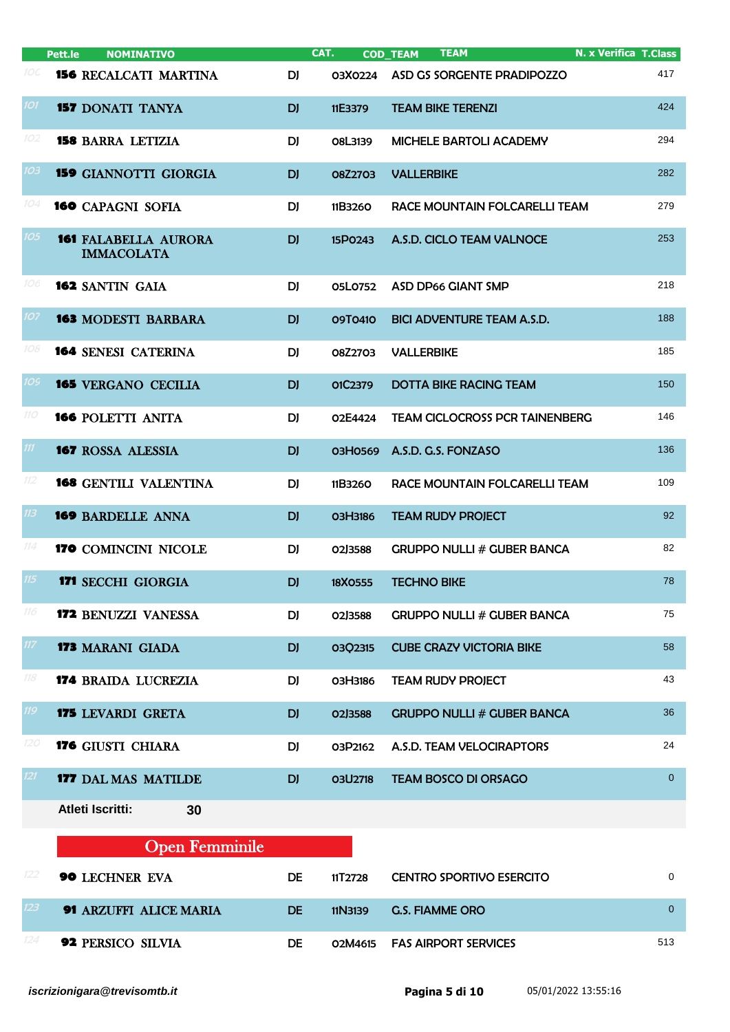|                  | Pett.le | <b>NOMINATIVO</b>                                |           | CAT.           | <b>TEAM</b><br><b>COD_TEAM</b>        | <b>N. x Verifica T.Class</b> |
|------------------|---------|--------------------------------------------------|-----------|----------------|---------------------------------------|------------------------------|
| 10C              |         | <b>156 RECALCATI MARTINA</b>                     | DJ        | 03X0224        | ASD GS SORGENTE PRADIPOZZO            | 417                          |
| 101              |         | <b>157 DONATI TANYA</b>                          | DJ        | 11E3379        | <b>TEAM BIKE TERENZI</b>              | 424                          |
| 102              |         | <b>158 BARRA LETIZIA</b>                         | DJ        | O8L3139        | <b>MICHELE BARTOLI ACADEMY</b>        | 294                          |
| 103              |         | <b>159 GIANNOTTI GIORGIA</b>                     | DJ        | 08Z2703        | <b>VALLERBIKE</b>                     | 282                          |
| 104              |         | <b>160</b> CAPAGNI SOFIA                         | DJ        | 11B3260        | RACE MOUNTAIN FOLCARELLI TEAM         | 279                          |
| 105              |         | <b>161 FALABELLA AURORA</b><br><b>IMMACOLATA</b> | <b>DJ</b> | 15P0243        | A.S.D. CICLO TEAM VALNOCE             | 253                          |
| 106              |         | <b>162 SANTIN GAIA</b>                           | DJ        | 05L0752        | <b>ASD DP66 GIANT SMP</b>             | 218                          |
| 107              |         | <b>163 MODESTI BARBARA</b>                       | <b>DJ</b> | 09T0410        | <b>BICI ADVENTURE TEAM A.S.D.</b>     | 188                          |
| 108              |         | <b>164 SENESI CATERINA</b>                       | DJ        | 08Z2703        | <b>VALLERBIKE</b>                     | 185                          |
| 10S              |         | <b>165 VERGANO CECILIA</b>                       | <b>DJ</b> | O1C2379        | <b>DOTTA BIKE RACING TEAM</b>         | 150                          |
| 110              |         | <b>166 POLETTI ANITA</b>                         | DJ        | O2E4424        | <b>TEAM CICLOCROSS PCR TAINENBERG</b> | 146                          |
| $\boldsymbol{m}$ |         | <b>167 ROSSA ALESSIA</b>                         | <b>DJ</b> | 03H0569        | A.S.D. G.S. FONZASO                   | 136                          |
| 112              |         | <b>168 GENTILI VALENTINA</b>                     | DJ        | 11B3260        | RACE MOUNTAIN FOLCARELLI TEAM         | 109                          |
| 113              |         | <b>169 BARDELLE ANNA</b>                         | <b>DJ</b> | <b>O3H3186</b> | <b>TEAM RUDY PROJECT</b>              | 92                           |
| 114              |         | 170 COMINCINI NICOLE                             | DJ        | 02J3588        | <b>GRUPPO NULLI # GUBER BANCA</b>     | 82                           |
| 115              |         | <b>171 SECCHI GIORGIA</b>                        | DJ        | 18X0555        | <b>TECHNO BIKE</b>                    | 78                           |
| 116              |         | <b>172 BENUZZI VANESSA</b>                       | DJ        | 02J3588        | <b>GRUPPO NULLI # GUBER BANCA</b>     | 75                           |
| 117              |         | <b>173 MARANI GIADA</b>                          | <b>DJ</b> | 03Q2315        | <b>CUBE CRAZY VICTORIA BIKE</b>       | 58                           |
| 118              |         | <b>174 BRAIDA LUCREZIA</b>                       | DJ        | O3H3186        | <b>TEAM RUDY PROJECT</b>              | 43                           |
| 119              |         | <b>175 LEVARDI GRETA</b>                         | DJ        | 02J3588        | <b>GRUPPO NULLI # GUBER BANCA</b>     | 36                           |
| 120              |         | 176 GIUSTI CHIARA                                | DJ        | O3P2162        | A.S.D. TEAM VELOCIRAPTORS             | 24                           |
| 121              |         | <b>177 DAL MAS MATILDE</b>                       | <b>DJ</b> | <b>03U2718</b> | <b>TEAM BOSCO DI ORSAGO</b>           | $\overline{0}$               |
|                  |         | Atleti Iscritti:<br>30                           |           |                |                                       |                              |

|     | <b>Open Femminile</b>         |    |         |                                 |          |
|-----|-------------------------------|----|---------|---------------------------------|----------|
| 122 | <b>90 LECHNER EVA</b>         | DE | 11T2728 | <b>CENTRO SPORTIVO ESERCITO</b> | 0        |
| 123 | <b>91 ARZUFFI ALICE MARIA</b> | DE | 11N3139 | <b>G.S. FIAMME ORO</b>          | $\Omega$ |
|     | <b>92 PERSICO SILVIA</b>      | DE |         | 02M4615 FAS AIRPORT SERVICES    | 513      |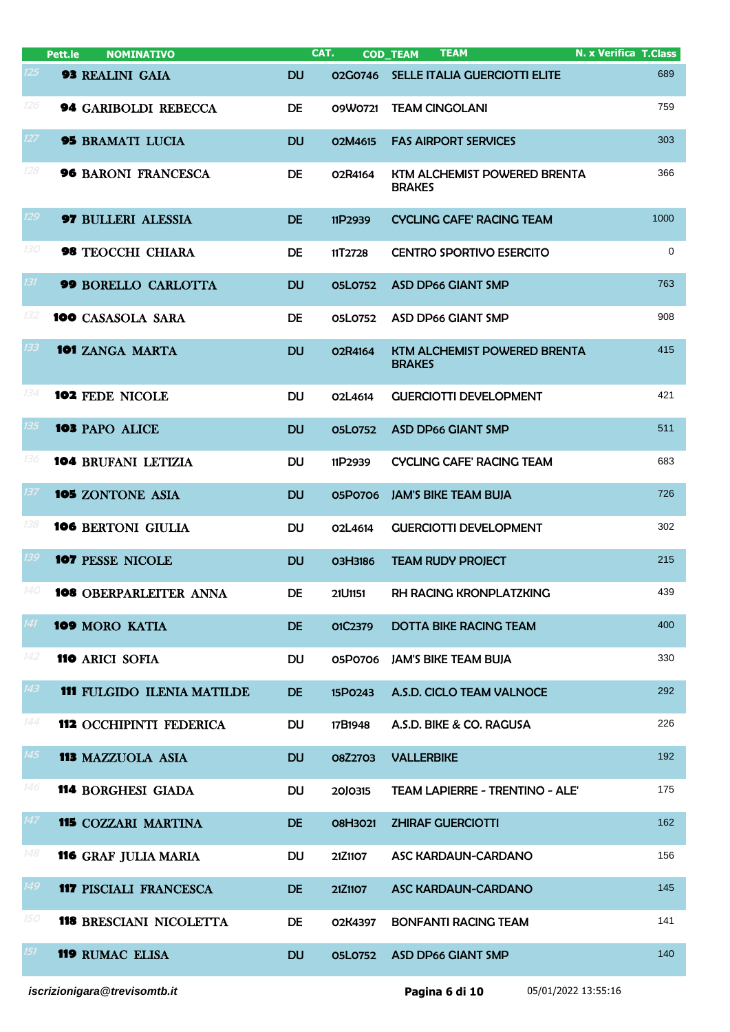|     | Pett.le<br><b>NOMINATIVO</b>      |           | CAT.           | <b>TEAM</b><br><b>COD_TEAM</b>                       | N. x Verifica T.Class |
|-----|-----------------------------------|-----------|----------------|------------------------------------------------------|-----------------------|
| 125 | <b>93 REALINI GAIA</b>            | <b>DU</b> | 02G0746        | SELLE ITALIA GUERCIOTTI ELITE                        | 689                   |
| 126 | <b>94 GARIBOLDI REBECCA</b>       | DE        | 09W0721        | <b>TEAM CINGOLANI</b>                                | 759                   |
| 127 | <b>95 BRAMATI LUCIA</b>           | <b>DU</b> | O2M4615        | <b>FAS AIRPORT SERVICES</b>                          | 303                   |
| 128 | <b>96 BARONI FRANCESCA</b>        | DE        | O2R4164        | KTM ALCHEMIST POWERED BRENTA<br><b>BRAKES</b>        | 366                   |
| 129 | <b>97 BULLERI ALESSIA</b>         | <b>DE</b> | 11P2939        | <b>CYCLING CAFE' RACING TEAM</b>                     | 1000                  |
| 130 | 98 TEOCCHI CHIARA                 | <b>DE</b> | 11T2728        | <b>CENTRO SPORTIVO ESERCITO</b>                      | 0                     |
| 131 | 99 BORELLO CARLOTTA               | <b>DU</b> | <b>05L0752</b> | <b>ASD DP66 GIANT SMP</b>                            | 763                   |
| 132 | <b>100 CASASOLA SARA</b>          | <b>DE</b> | 05L0752        | <b>ASD DP66 GIANT SMP</b>                            | 908                   |
| 133 | 101 ZANGA MARTA                   | <b>DU</b> | O2R4164        | <b>KTM ALCHEMIST POWERED BRENTA</b><br><b>BRAKES</b> | 415                   |
| 134 | 102 FEDE NICOLE                   | <b>DU</b> | O2L4614        | <b>GUERCIOTTI DEVELOPMENT</b>                        | 421                   |
| 135 | 103 PAPO ALICE                    | <b>DU</b> | <b>05L0752</b> | <b>ASD DP66 GIANT SMP</b>                            | 511                   |
| 136 | <b>104 BRUFANI LETIZIA</b>        | <b>DU</b> | 11P2939        | <b>CYCLING CAFE' RACING TEAM</b>                     | 683                   |
| 137 | 105 ZONTONE ASIA                  | <b>DU</b> | 05P0706        | <b>JAM'S BIKE TEAM BUJA</b>                          | 726                   |
| 138 | <b>106 BERTONI GIULIA</b>         | <b>DU</b> | O2L4614        | <b>GUERCIOTTI DEVELOPMENT</b>                        | 302                   |
| 139 | <b>107 PESSE NICOLE</b>           | <b>DU</b> | O3H3186        | <b>TEAM RUDY PROJECT</b>                             | 215                   |
|     | <b>108</b> OBERPARLEITER ANNA     | <b>DE</b> | 21U1151        | RH RACING KRONPLATZKING                              | 439                   |
| 141 | 109 MORO KATIA                    | <b>DE</b> | 01C2379        | <b>DOTTA BIKE RACING TEAM</b>                        | 400                   |
| 142 | <b>110 ARICI SOFIA</b>            | <b>DU</b> | 05P0706        | <b>JAM'S BIKE TEAM BUJA</b>                          | 330                   |
| 143 | <b>111 FULGIDO ILENIA MATILDE</b> | <b>DE</b> | 15P0243        | A.S.D. CICLO TEAM VALNOCE                            | 292                   |
| 144 | 112 OCCHIPINTI FEDERICA           | <b>DU</b> | 17B1948        | A.S.D. BIKE & CO. RAGUSA                             | 226                   |
| 145 | <b>113 MAZZUOLA ASIA</b>          | <b>DU</b> | <b>08Z2703</b> | <b>VALLERBIKE</b>                                    | 192                   |
| 146 | <b>114 BORGHESI GIADA</b>         | <b>DU</b> | 20J0315        | TEAM LAPIERRE - TRENTINO - ALE'                      | 175                   |
| 147 | <b>115 COZZARI MARTINA</b>        | <b>DE</b> | 08H3021        | <b>ZHIRAF GUERCIOTTI</b>                             | 162                   |
| 148 | <b>116 GRAF JULIA MARIA</b>       | <b>DU</b> | 21Z1107        | ASC KARDAUN-CARDANO                                  | 156                   |
| 149 | <b>117 PISCIALI FRANCESCA</b>     | <b>DE</b> | 21Z1107        | ASC KARDAUN-CARDANO                                  | 145                   |
| 150 | <b>118 BRESCIANI NICOLETTA</b>    | DE        | 02K4397        | <b>BONFANTI RACING TEAM</b>                          | 141                   |
| 151 | <b>119 RUMAC ELISA</b>            | <b>DU</b> | <b>05L0752</b> | <b>ASD DP66 GIANT SMP</b>                            | 140                   |
|     |                                   |           |                |                                                      |                       |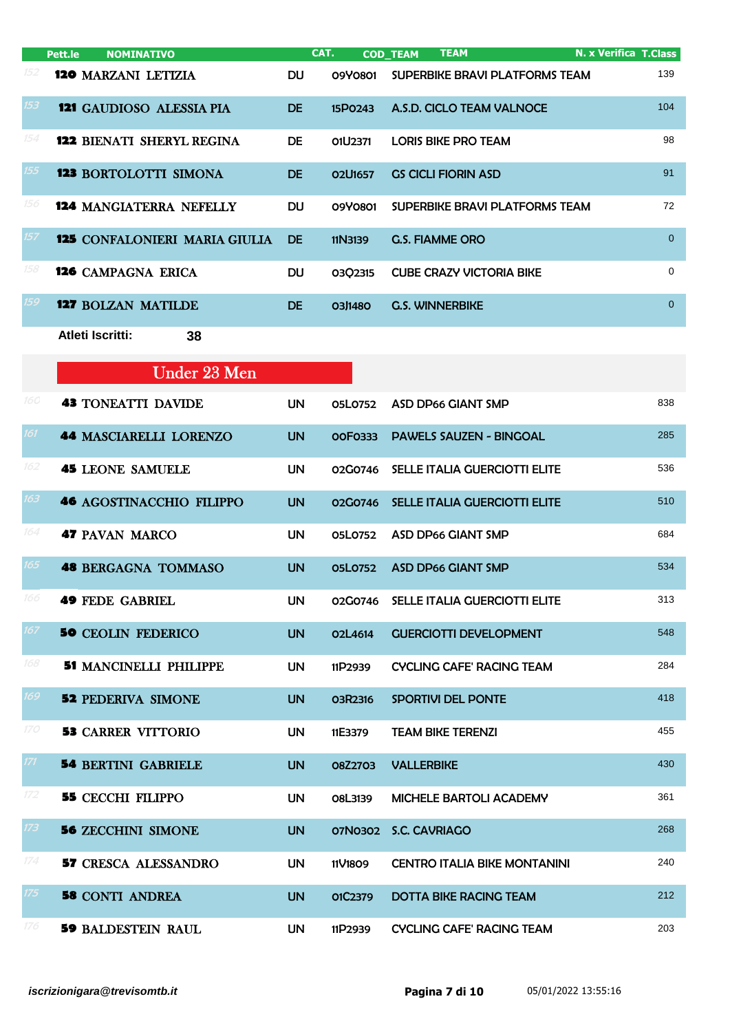|     | <b>NOMINATIVO</b><br>Pett.le         |           | CAT.                             | <b>TEAM</b><br><b>COD TEAM</b>  | <b>N. x Verifica T.Class</b> |
|-----|--------------------------------------|-----------|----------------------------------|---------------------------------|------------------------------|
| 152 | <b>120 MARZANI LETIZIA</b>           | DU.       | 09Y0801                          | SUPERBIKE BRAVI PLATFORMS TEAM  | 139                          |
| 153 | <b>121 GAUDIOSO ALESSIA PIA</b>      | DE.       | 15P0243                          | A.S.D. CICLO TEAM VALNOCE       | 104                          |
| 154 | <b>122 BIENATI SHERYL REGINA</b>     | <b>DE</b> | O1U2371                          | LORIS BIKE PRO TEAM             | 98                           |
| 155 | <b>123 BORTOLOTTI SIMONA</b>         | DE.       | O <sub>2</sub> U <sub>1657</sub> | <b>GS CICLI FIORIN ASD</b>      | 91                           |
| 156 | <b>124 MANGIATERRA NEFELLY</b>       | <b>DU</b> | 09Y0801                          | SUPERBIKE BRAVI PLATFORMS TEAM  | 72                           |
| 157 | <b>125 CONFALONIERI MARIA GIULIA</b> | <b>DE</b> | 11N3139                          | <b>G.S. FIAMME ORO</b>          | $\Omega$                     |
| 158 | <b>126</b> CAMPAGNA ERICA            | <b>DU</b> | 0302315                          | <b>CUBE CRAZY VICTORIA BIKE</b> | $\Omega$                     |
| 159 | <b>127 BOLZAN MATILDE</b>            | DE.       | O3J1480                          | <b>G.S. WINNERBIKE</b>          | $\Omega$                     |
|     | Atleti Iscritti:<br>38               |           |                                  |                                 |                              |

|            | <b>Under 23 Men</b>             |           |                |                                      |     |
|------------|---------------------------------|-----------|----------------|--------------------------------------|-----|
| 160        | <b>43 TONEATTI DAVIDE</b>       | <b>UN</b> | 05L0752        | <b>ASD DP66 GIANT SMP</b>            | 838 |
| 161        | <b>44 MASCIARELLI LORENZO</b>   | <b>UN</b> | OOF0333        | <b>PAWELS SAUZEN - BINGOAL</b>       | 285 |
| 162        | <b>45 LEONE SAMUELE</b>         | <b>UN</b> | 02G0746        | <b>SELLE ITALIA GUERCIOTTI ELITE</b> | 536 |
| 163        | <b>46 AGOSTINACCHIO FILIPPO</b> | <b>UN</b> | 02G0746        | SELLE ITALIA GUERCIOTTI ELITE        | 510 |
| 164        | <b>47 PAVAN MARCO</b>           | <b>UN</b> | 05L0752        | <b>ASD DP66 GIANT SMP</b>            | 684 |
| 165        | <b>48 BERGAGNA TOMMASO</b>      | <b>UN</b> | <b>05L0752</b> | <b>ASD DP66 GIANT SMP</b>            | 534 |
| 166        | <b>49 FEDE GABRIEL</b>          | <b>UN</b> | 02G0746        | SELLE ITALIA GUERCIOTTI ELITE        | 313 |
| 167        | <b>50 CEOLIN FEDERICO</b>       | <b>UN</b> | O2L4614        | <b>GUERCIOTTI DEVELOPMENT</b>        | 548 |
| 168        | <b>51 MANCINELLI PHILIPPE</b>   | <b>UN</b> | 11P2939        | <b>CYCLING CAFE' RACING TEAM</b>     | 284 |
| 169        | <b>52 PEDERIVA SIMONE</b>       | <b>UN</b> | 03R2316        | <b>SPORTIVI DEL PONTE</b>            | 418 |
| <i>170</i> | <b>53 CARRER VITTORIO</b>       | <b>UN</b> | 11E3379        | <b>TEAM BIKE TERENZI</b>             | 455 |
| 171        | <b>54 BERTINI GABRIELE</b>      | <b>UN</b> | <b>08Z2703</b> | <b>VALLERBIKE</b>                    | 430 |
| 172        | <b>55 CECCHI FILIPPO</b>        | <b>UN</b> | O8L3139        | MICHELE BARTOLI ACADEMY              | 361 |
| 173        | <b>56 ZECCHINI SIMONE</b>       | <b>UN</b> | 07N0302        | <b>S.C. CAVRIAGO</b>                 | 268 |
| 174        | <b>57 CRESCA ALESSANDRO</b>     | <b>UN</b> | 11V1809        | <b>CENTRO ITALIA BIKE MONTANINI</b>  | 240 |
| 175        | <b>58 CONTI ANDREA</b>          | <b>UN</b> | 01C2379        | <b>DOTTA BIKE RACING TEAM</b>        | 212 |
| 176        | <b>59 BALDESTEIN RAUL</b>       | <b>UN</b> | 11P2939        | <b>CYCLING CAFE' RACING TEAM</b>     | 203 |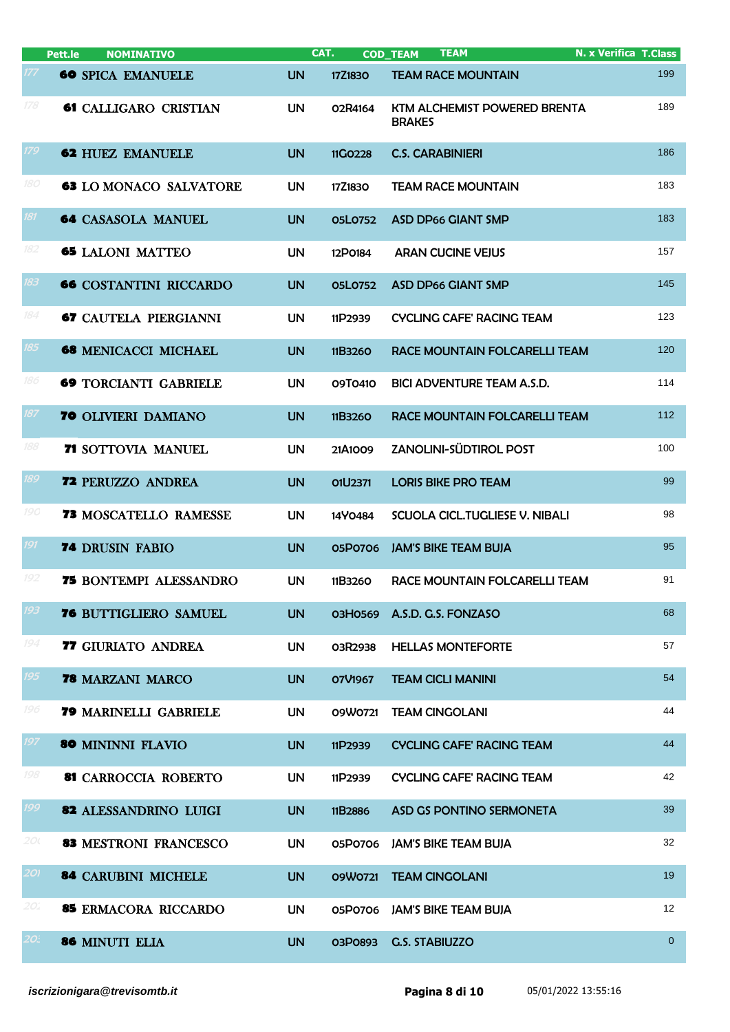|                       | Pett.le<br><b>NOMINATIVO</b>  |           | CAT.    | <b>TEAM</b><br><b>COD TEAM</b>                | <b>N. x Verifica T.Class</b> |
|-----------------------|-------------------------------|-----------|---------|-----------------------------------------------|------------------------------|
|                       | <b>60 SPICA EMANUELE</b>      | <b>UN</b> | 17Z1830 | <b>TEAM RACE MOUNTAIN</b>                     | 199                          |
| 178                   | <b>61 CALLIGARO CRISTIAN</b>  | <b>UN</b> | 02R4164 | KTM ALCHEMIST POWERED BRENTA<br><b>BRAKES</b> | 189                          |
| 179                   | <b>62 HUEZ EMANUELE</b>       | <b>UN</b> | 11G0228 | <b>C.S. CARABINIERI</b>                       | 186                          |
| 180                   | <b>63 LO MONACO SALVATORE</b> | <b>UN</b> | 17Z1830 | <b>TEAM RACE MOUNTAIN</b>                     | 183                          |
| 181                   | <b>64 CASASOLA MANUEL</b>     | <b>UN</b> | 05L0752 | <b>ASD DP66 GIANT SMP</b>                     | 183                          |
| 182                   | <b>65 LALONI MATTEO</b>       | <b>UN</b> | 12P0184 | <b>ARAN CUCINE VEJUS</b>                      | 157                          |
| 183                   | <b>66 COSTANTINI RICCARDO</b> | <b>UN</b> | 05L0752 | <b>ASD DP66 GIANT SMP</b>                     | 145                          |
| 184                   | <b>67 CAUTELA PIERGIANNI</b>  | <b>UN</b> | 11P2939 | <b>CYCLING CAFE' RACING TEAM</b>              | 123                          |
| 185                   | <b>68 MENICACCI MICHAEL</b>   | <b>UN</b> | 11B3260 | RACE MOUNTAIN FOLCARELLI TEAM                 | 120                          |
| 186                   | <b>69 TORCIANTI GABRIELE</b>  | <b>UN</b> | 09T0410 | <b>BICI ADVENTURE TEAM A.S.D.</b>             | 114                          |
| 187                   | <b>70 OLIVIERI DAMIANO</b>    | <b>UN</b> | 11B3260 | RACE MOUNTAIN FOLCARELLI TEAM                 | 112                          |
| 188                   | <b>71 SOTTOVIA MANUEL</b>     | <b>UN</b> | 21A1009 | ZANOLINI-SÜDTIROL POST                        | 100                          |
| 189                   | <b>72 PERUZZO ANDREA</b>      | <b>UN</b> | O1U2371 | <b>LORIS BIKE PRO TEAM</b>                    | 99                           |
| <i>190</i>            | <b>73 MOSCATELLO RAMESSE</b>  | <b>UN</b> | 14Y0484 | SCUOLA CICL. TUGLIESE V. NIBALI               | 98                           |
| 191                   | <b>74 DRUSIN FABIO</b>        | <b>UN</b> | 05P0706 | <b>JAM'S BIKE TEAM BUJA</b>                   | 95                           |
| 192                   | <b>75 BONTEMPI ALESSANDRO</b> | <b>UN</b> | 11B3260 | RACE MOUNTAIN FOLCARELLI TEAM                 | 91                           |
| 193                   | 76 BUTTIGLIERO SAMUEL         | <b>UN</b> | 03H0569 | A.S.D. G.S. FONZASO                           | 68                           |
| 194                   | 77 GIURIATO ANDREA            | <b>UN</b> | 03R2938 | <b>HELLAS MONTEFORTE</b>                      | 57                           |
| 195                   | 78 MARZANI MARCO              | <b>UN</b> | O7V1967 | <b>TEAM CICLI MANINI</b>                      | 54                           |
| 196                   | 79 MARINELLI GABRIELE         | <b>UN</b> | 09W0721 | <b>TEAM CINGOLANI</b>                         | 44                           |
| 197                   | 80 MININNI FLAVIO             | <b>UN</b> | 11P2939 | <b>CYCLING CAFE' RACING TEAM</b>              | 44                           |
| 198                   | 81 CARROCCIA ROBERTO          | <b>UN</b> | 11P2939 | <b>CYCLING CAFE' RACING TEAM</b>              | 42                           |
| 199                   | 82 ALESSANDRINO LUIGI         | <b>UN</b> | 11B2886 | ASD GS PONTINO SERMONETA                      | 39                           |
| 20(                   | <b>83 MESTRONI FRANCESCO</b>  | <b>UN</b> | 05P0706 | <b>JAM'S BIKE TEAM BUJA</b>                   | 32                           |
| 201                   | <b>84 CARUBINI MICHELE</b>    | <b>UN</b> | 09W0721 | <b>TEAM CINGOLANI</b>                         | 19                           |
| 20.                   | 85 ERMACORA RICCARDO          | <b>UN</b> | 05P0706 | <b>JAM'S BIKE TEAM BUJA</b>                   | 12                           |
| $2O_{\sigma}^{\circ}$ | 86 MINUTI ELIA                | <b>UN</b> | 03P0893 | <b>G.S. STABIUZZO</b>                         | $\overline{0}$               |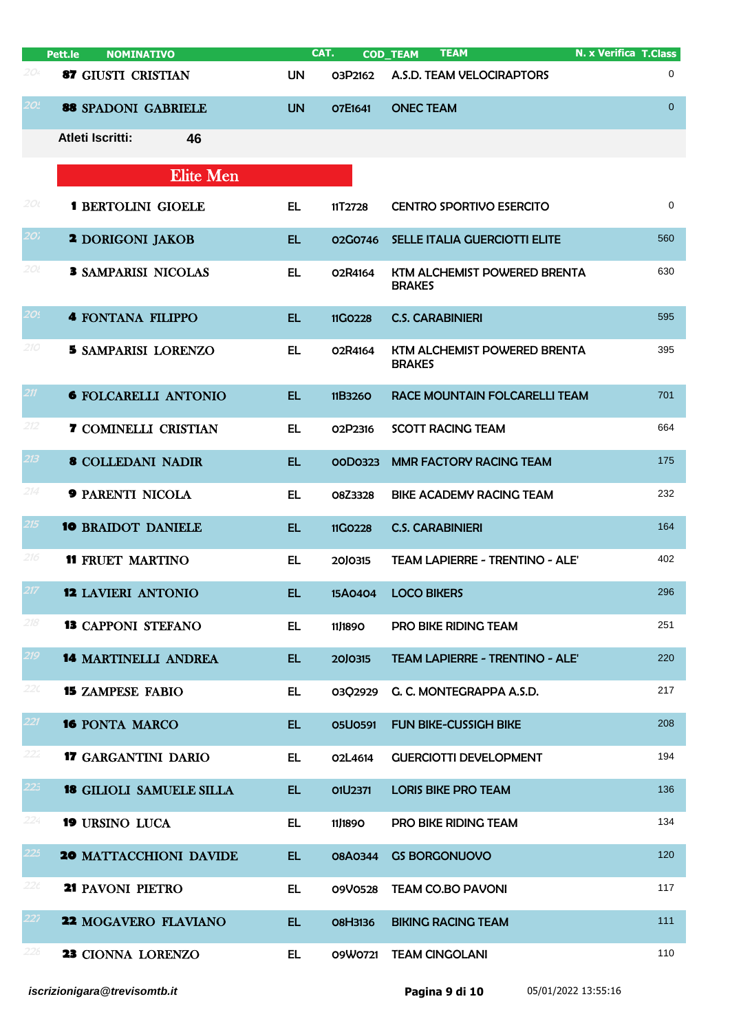|                 | <b>NOMINATIVO</b><br>Pett.le    | CAT.      |                | <b>TEAM</b><br><b>COD_TEAM</b>                | <b>N. x Verifica T.Class</b> |
|-----------------|---------------------------------|-----------|----------------|-----------------------------------------------|------------------------------|
| 204             | <b>87 GIUSTI CRISTIAN</b>       | <b>UN</b> | O3P2162        | A.S.D. TEAM VELOCIRAPTORS                     | 0                            |
| 2O <sub>1</sub> | 88 SPADONI GABRIELE             | <b>UN</b> | O7E1641        | <b>ONEC TEAM</b>                              | $\overline{0}$               |
|                 | <b>Atleti Iscritti:</b><br>46   |           |                |                                               |                              |
|                 | <b>Elite Men</b>                |           |                |                                               |                              |
| 200             | <b>1 BERTOLINI GIOELE</b>       | EL.       | 11T2728        | <b>CENTRO SPORTIVO ESERCITO</b>               | 0                            |
| 20 <sub>i</sub> | <b>2 DORIGONI JAKOB</b>         | <b>EL</b> | 02G0746        | SELLE ITALIA GUERCIOTTI ELITE                 | 560                          |
| 20l             | <b>3 SAMPARISI NICOLAS</b>      | <b>EL</b> | 02R4164        | KTM ALCHEMIST POWERED BRENTA<br><b>BRAKES</b> | 630                          |
| 20!             | <b>4 FONTANA FILIPPO</b>        | <b>EL</b> | 11GO228        | <b>C.S. CARABINIERI</b>                       | 595                          |
| 210             | <b>5 SAMPARISI LORENZO</b>      | EL        | O2R4164        | KTM ALCHEMIST POWERED BRENTA<br><b>BRAKES</b> | 395                          |
| 211             | <b>6 FOLCARELLI ANTONIO</b>     | <b>EL</b> | 11B3260        | RACE MOUNTAIN FOLCARELLI TEAM                 | 701                          |
| 212             | <b>7 COMINELLI CRISTIAN</b>     | EL        | 02P2316        | <b>SCOTT RACING TEAM</b>                      | 664                          |
| 213             | <b>8 COLLEDANI NADIR</b>        | <b>EL</b> | OOD0323        | <b>MMR FACTORY RACING TEAM</b>                | 175                          |
| 214             | <b>9 PARENTI NICOLA</b>         | <b>EL</b> | O8Z3328        | <b>BIKE ACADEMY RACING TEAM</b>               | 232                          |
| 215             | <b>10 BRAIDOT DANIELE</b>       | <b>EL</b> | 11G0228        | <b>C.S. CARABINIERI</b>                       | 164                          |
| 216             | <b>11 FRUET MARTINO</b>         | EL        | 20J0315        | <b>TEAM LAPIERRE - TRENTINO - ALE'</b>        | 402                          |
| 217             | <b>12 LAVIERI ANTONIO</b>       | EL        | 15A0404        | <b>LOCO BIKERS</b>                            | 296                          |
| 218             | <b>13 CAPPONI STEFANO</b>       | EL.       | 11,1890        | <b>PRO BIKE RIDING TEAM</b>                   | 251                          |
| 219             | <b>14 MARTINELLI ANDREA</b>     | EL.       | 20J0315        | <b>TEAM LAPIERRE - TRENTINO - ALE'</b>        | 220                          |
| 220             | <b>15 ZAMPESE FABIO</b>         | EL.       | 03Q2929        | G. C. MONTEGRAPPA A.S.D.                      | 217                          |
| 221             | <b>16 PONTA MARCO</b>           | EL.       | <b>05U0591</b> | <b>FUN BIKE-CUSSIGH BIKE</b>                  | 208                          |
| 222             | <b>17 GARGANTINI DARIO</b>      | EL.       | O2L4614        | <b>GUERCIOTTI DEVELOPMENT</b>                 | 194                          |
| 225             | <b>18 GILIOLI SAMUELE SILLA</b> | EL.       | O1U2371        | <b>LORIS BIKE PRO TEAM</b>                    | 136                          |
| 224             | <b>19 URSINO LUCA</b>           | EL.       | 11,1890        | PRO BIKE RIDING TEAM                          | 134                          |
| 225             | <b>20 MATTACCHIONI DAVIDE</b>   | EL.       | 08A0344        | <b>GS BORGONUOVO</b>                          | 120                          |
| 22 <sub>c</sub> | 21 PAVONI PIETRO                | <b>EL</b> | 09V0528        | <b>TEAM CO.BO PAVONI</b>                      | 117                          |
| 227             | 22 MOGAVERO FLAVIANO            | EL.       | <b>08H3136</b> | <b>BIKING RACING TEAM</b>                     | 111                          |
| 228             | 23 CIONNA LORENZO               | EL.       | 09W0721        | <b>TEAM CINGOLANI</b>                         | 110                          |